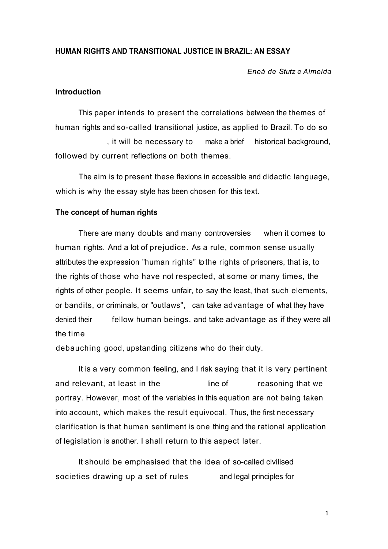## **HUMAN RIGHTS AND TRANSITIONAL JUSTICE IN BRAZIL: AN ESSAY**

*Eneá de Stutz e Almeida*

### **Introduction**

This paper intends to present the correlations between the themes of human rights and so-called transitional justice, as applied to Brazil. To do so , it will be necessary to make a brief historical background, followed by current reflections on both themes.

The aim is to present these flexions in accessible and didactic language, which is why the essay style has been chosen for this text.

## **The concept of human rights**

There are many doubts and many controversies when it comes to human rights. And a lot of prejudice. As a rule, common sense usually attributes the expression "human rights" to the rights of prisoners, that is, to the rights of those who have not respected, at some or many times, the rights of other people. It seems unfair, to say the least, that such elements, or bandits, or criminals, or "outlaws", can take advantage of what they have denied their fellow human beings, and take advantage as if they were all the time

debauching good, upstanding citizens who do their duty.

It is a very common feeling, and I risk saying that it is very pertinent and relevant, at least in the line of the reasoning that we portray. However, most of the variables in this equation are not being taken into account, which makes the result equivocal. Thus, the first necessary clarification is that human sentiment is one thing and the rational application of legislation is another. I shall return to this aspect later.

It should be emphasised that the idea of so-called civilised societies drawing up a set of rules and legal principles for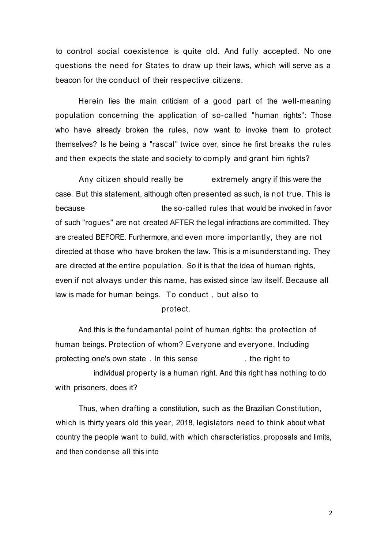to control social coexistence is quite old. And fully accepted. No one questions the need for States to draw up their laws, which will serve as a beacon for the conduct of their respective citizens.

Herein lies the main criticism of a good part of the well-meaning population concerning the application of so-called "human rights": Those who have already broken the rules, now want to invoke them to protect themselves? Is he being a "rascal" twice over, since he first breaks the rules and then expects the state and society to comply and grant him rights?

Any citizen should really be extremely angry if this were the case. But this statement, although often presented as such, is not true. This is because the so-called rules that would be invoked in favor of such "rogues" are not created AFTER the legal infractions are committed. They are created BEFORE. Furthermore, and even more importantly, they are not directed at those who have broken the law. This is a misunderstanding. They are directed at the entire population. So it is that the idea of human rights, even if not always under this name, has existed since law itself. Because all law is made for human beings. To conduct , but also to

protect.

And this is the fundamental point of human rights: the protection of human beings. Protection of whom? Everyone and everyone. Including protecting one's own state . In this sense the set of the right to individual property is a human right. And this right has nothing to do with prisoners, does it?

Thus, when drafting a constitution, such as the Brazilian Constitution, which is thirty years old this year, 2018, legislators need to think about what country the people want to build, with which characteristics, proposals and limits, and then condense all this into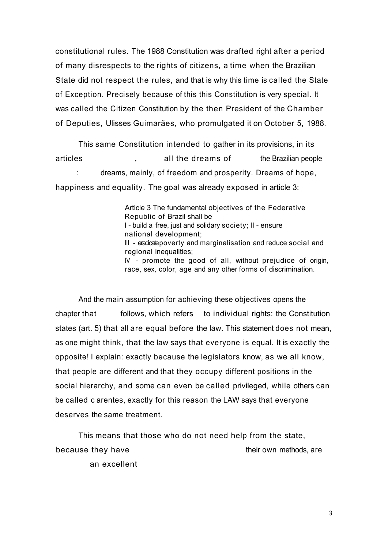constitutional rules. The 1988 Constitution was drafted right after a period of many disrespects to the rights of citizens, a time when the Brazilian State did not respect the rules, and that is why this time is called the State of Exception. Precisely because of this this Constitution is very special. It was called the Citizen Constitution by the then President of the Chamber of Deputies, Ulisses Guimarães, who promulgated it on October 5, 1988.

This same Constitution intended to gather in its provisions, in its articles , all the dreams of the Brazilian people : dreams, mainly, of freedom and prosperity. Dreams of hope, happiness and equality. The goal was already exposed in article 3:

> Article 3 The fundamental objectives of the Federative Republic of Brazil shall be I - build a free, just and solidary society; II - ensure national development; III - eradicate poverty and marginalisation and reduce social and regional inequalities; IV - promote the good of all, without prejudice of origin, race, sex, color, age and any other forms of discrimination.

And the main assumption for achieving these objectives opens the chapter that follows, which refers to individual rights: the Constitution states (art. 5) that all are equal before the law. This statement does not mean, as one might think, that the law says that everyone is equal. It is exactly the opposite! I explain: exactly because the legislators know, as we all know, that people are different and that they occupy different positions in the social hierarchy, and some can even be called privileged, while others can be called c arentes, exactly for this reason the LAW says that everyone deserves the same treatment.

This means that those who do not need help from the state, because they have the same their own methods, are their own methods, are an excellent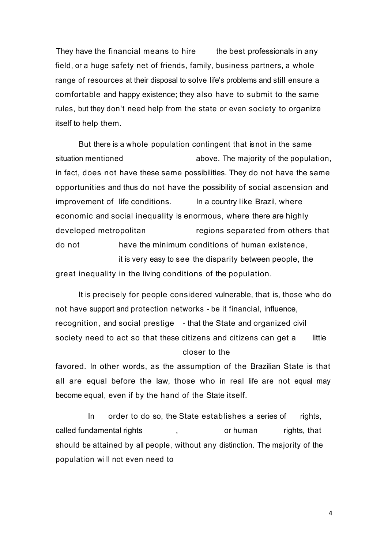They have the financial means to hire the best professionals in any field, or a huge safety net of friends, family, business partners, a whole range of resources at their disposal to solve life's problems and still ensure a comfortable and happy existence; they also have to submit to the same rules, but they don't need help from the state or even society to organize itself to help them.

But there is a whole population contingent that is not in the same situation mentioned above. The majority of the population, in fact, does not have these same possibilities. They do not have the same opportunities and thus do not have the possibility of social ascension and improvement of life conditions. In a country like Brazil, where economic and social inequality is enormous, where there are highly developed metropolitan regions separated from others that do not have the minimum conditions of human existence, it is very easy to see the disparity between people, the great inequality in the living conditions of the population.

It is precisely for people considered vulnerable, that is, those who do not have support and protection networks - be it financial, influence, recognition, and social prestige - that the State and organized civil society need to act so that these citizens and citizens can get a little closer to the

favored. In other words, as the assumption of the Brazilian State is that all are equal before the law, those who in real life are not equal may become equal, even if by the hand of the State itself.

In order to do so, the State establishes a series of rights, called fundamental rights  $\qquad \qquad , \qquad \qquad$  or human rights, that should be attained by all people, without any distinction. The majority of the population will not even need to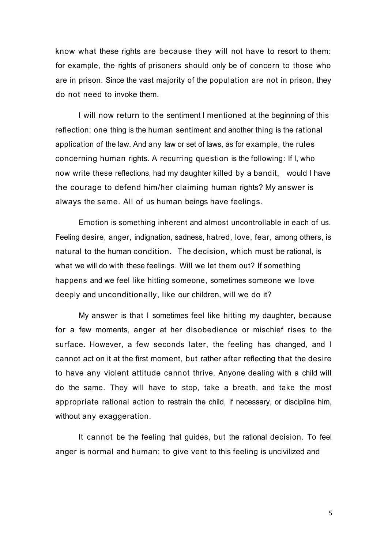know what these rights are because they will not have to resort to them: for example, the rights of prisoners should only be of concern to those who are in prison. Since the vast majority of the population are not in prison, they do not need to invoke them.

I will now return to the sentiment I mentioned at the beginning of this reflection: one thing is the human sentiment and another thing is the rational application of the law. And any law or set of laws, as for example, the rules concerning human rights. A recurring question is the following: If I, who now write these reflections, had my daughter killed by a bandit, would I have the courage to defend him/her claiming human rights? My answer is always the same. All of us human beings have feelings.

Emotion is something inherent and almost uncontrollable in each of us. Feeling desire, anger, indignation, sadness, hatred, love, fear, among others, is natural to the human condition. The decision, which must be rational, is what we will do with these feelings. Will we let them out? If something happens and we feel like hitting someone, sometimes someone we love deeply and unconditionally, like our children, will we do it?

My answer is that I sometimes feel like hitting my daughter, because for a few moments, anger at her disobedience or mischief rises to the surface. However, a few seconds later, the feeling has changed, and I cannot act on it at the first moment, but rather after reflecting that the desire to have any violent attitude cannot thrive. Anyone dealing with a child will do the same. They will have to stop, take a breath, and take the most appropriate rational action to restrain the child, if necessary, or discipline him, without any exaggeration.

It cannot be the feeling that guides, but the rational decision. To feel anger is normal and human; to give vent to this feeling is uncivilized and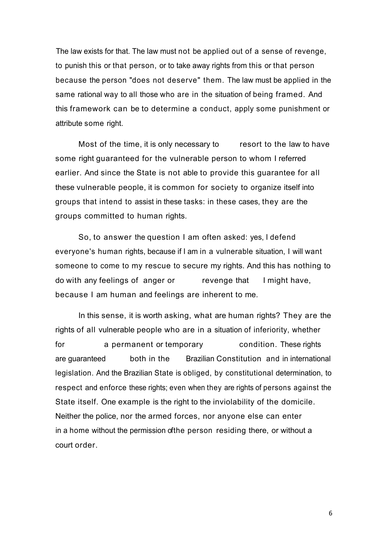The law exists for that. The law must not be applied out of a sense of revenge, to punish this or that person, or to take away rights from this or that person because the person "does not deserve" them. The law must be applied in the same rational way to all those who are in the situation of being framed. And this framework can be to determine a conduct, apply some punishment or attribute some right.

Most of the time, it is only necessary to resort to the law to have some right guaranteed for the vulnerable person to whom I referred earlier. And since the State is not able to provide this guarantee for all these vulnerable people, it is common for society to organize itself into groups that intend to assist in these tasks: in these cases, they are the groups committed to human rights.

So, to answer the question I am often asked: yes, I defend everyone's human rights, because if I am in a vulnerable situation, I will want someone to come to my rescue to secure my rights. And this has nothing to do with any feelings of anger or revenge that I might have, because I am human and feelings are inherent to me.

In this sense, it is worth asking, what are human rights? They are the rights of all vulnerable people who are in a situation of inferiority, whether for **a permanent or temporary** condition. These rights are guaranteed both in the Brazilian Constitution and in international legislation. And the Brazilian State is obliged, by constitutional determination, to respect and enforce these rights; even when they are rights of persons against the State itself. One example is the right to the inviolability of the domicile. Neither the police, nor the armed forces, nor anyone else can enter in a home without the permission of the person residing there, or without a court order.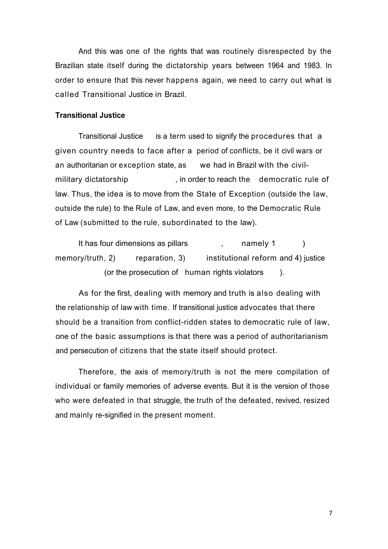And this was one of the rights that was routinely disrespected by the Brazilian state itself during the dictatorship years between 1964 and 1983. In order to ensure that this never happens again, we need to carry out what is called Transitional Justice in Brazil.

#### **Transitional Justice**

Transitional Justice is a term used to signify the procedures that a given country needs to face after a period of conflicts, be it civil wars or an authoritarian or exception state, as we had in Brazil with the civilmilitary dictatorship , in order to reach the democratic rule of law. Thus, the idea is to move from the State of Exception (outside the law, outside the rule) to the Rule of Law, and even more, to the Democratic Rule of Law (submitted to the rule, subordinated to the law).

It has four dimensions as pillars (a)  $\frac{1}{2}$ , and  $\frac{1}{2}$  (b) memory/truth, 2) reparation, 3) institutional reform and 4) justice (or the prosecution of human rights violators ).

As for the first, dealing with memory and truth is also dealing with the relationship of law with time. If transitional justice advocates that there should be a transition from conflict-ridden states to democratic rule of law, one of the basic assumptions is that there was a period of authoritarianism and persecution of citizens that the state itself should protect.

Therefore, the axis of memory/truth is not the mere compilation of individual or family memories of adverse events. But it is the version of those who were defeated in that struggle, the truth of the defeated, revived, resized and mainly re-signified in the present moment.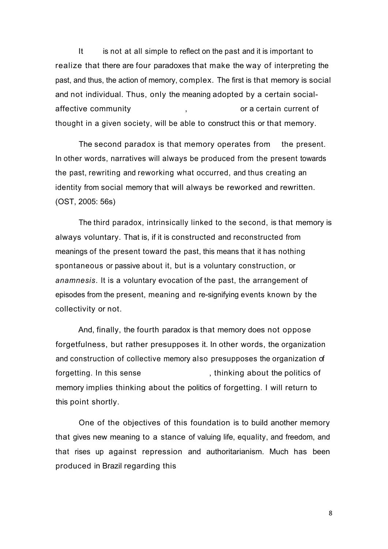It is not at all simple to reflect on the past and it is important to realize that there are four paradoxes that make the way of interpreting the past, and thus, the action of memory, complex. The first is that memory is social and not individual. Thus, only the meaning adopted by a certain socialaffective community and  $\overline{a}$ , are or a certain current of thought in a given society, will be able to construct this or that memory.

The second paradox is that memory operates from the present. In other words, narratives will always be produced from the present towards the past, rewriting and reworking what occurred, and thus creating an identity from social memory that will always be reworked and rewritten. (OST, 2005: 56s)

The third paradox, intrinsically linked to the second, is that memory is always voluntary. That is, if it is constructed and reconstructed from meanings of the present toward the past, this means that it has nothing spontaneous or passive about it, but is a voluntary construction, or *anamnesis*. It is a voluntary evocation of the past, the arrangement of episodes from the present, meaning and re-signifying events known by the collectivity or not.

And, finally, the fourth paradox is that memory does not oppose forgetfulness, but rather presupposes it. In other words, the organization and construction of collective memory also presupposes the organization of forgetting. In this sense , thinking about the politics of memory implies thinking about the politics of forgetting. I will return to this point shortly.

One of the objectives of this foundation is to build another memory that gives new meaning to a stance of valuing life, equality, and freedom, and that rises up against repression and authoritarianism. Much has been produced in Brazil regarding this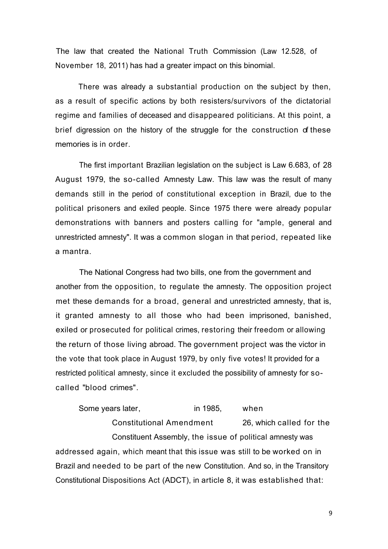The law that created the National Truth Commission (Law 12.528, of November 18, 2011) has had a greater impact on this binomial.

There was already a substantial production on the subject by then, as a result of specific actions by both resisters/survivors of the dictatorial regime and families of deceased and disappeared politicians. At this point, a brief digression on the history of the struggle for the construction of these memories is in order.

The first important Brazilian legislation on the subject is Law 6.683, of 28 August 1979, the so-called Amnesty Law. This law was the result of many demands still in the period of constitutional exception in Brazil, due to the political prisoners and exiled people. Since 1975 there were already popular demonstrations with banners and posters calling for "ample, general and unrestricted amnesty". It was a common slogan in that period, repeated like a mantra.

The National Congress had two bills, one from the government and another from the opposition, to regulate the amnesty. The opposition project met these demands for a broad, general and unrestricted amnesty, that is, it granted amnesty to all those who had been imprisoned, banished, exiled or prosecuted for political crimes, restoring their freedom or allowing the return of those living abroad. The government project was the victor in the vote that took place in August 1979, by only five votes! It provided for a restricted political amnesty, since it excluded the possibility of amnesty for socalled "blood crimes".

Some years later, in 1985, when Constitutional Amendment 26, which called for the Constituent Assembly, the issue of political amnesty was addressed again, which meant that this issue was still to be worked on in Brazil and needed to be part of the new Constitution. And so, in the Transitory Constitutional Dispositions Act (ADCT), in article 8, it was established that: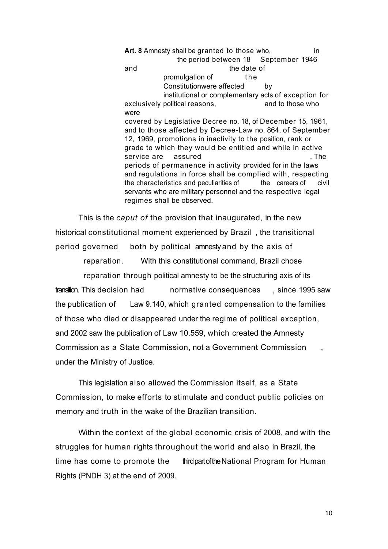**Art. 8** Amnesty shall be granted to those who, in the period between 18 September 1946 and the date of promulgation of the Constitutionwere affected by institutional or complementary acts of exception for exclusively political reasons, and to those who were covered by Legislative Decree no. 18, of December 15, 1961, and to those affected by Decree-Law no. 864, of September 12, 1969, promotions in inactivity to the position, rank or grade to which they would be entitled and while in active service are assured and service are  $\sim$  . The periods of permanence in activity provided for in the laws and regulations in force shall be complied with, respecting the characteristics and peculiarities of the careers of civil servants who are military personnel and the respective legal regimes shall be observed.

This is the *caput of* the provision that inaugurated, in the new historical constitutional moment experienced by Brazil , the transitional period governed both by political amnesty and by the axis of

reparation. With this constitutional command, Brazil chose

reparation through political amnesty to be the structuring axis of its transition. This decision had normative consequences , since 1995 saw the publication of Law 9.140, which granted compensation to the families of those who died or disappeared under the regime of political exception, and 2002 saw the publication of Law 10.559, which created the Amnesty Commission as a State Commission, not a Government Commission , under the Ministry of Justice.

This legislation also allowed the Commission itself, as a State Commission, to make efforts to stimulate and conduct public policies on memory and truth in the wake of the Brazilian transition.

Within the context of the global economic crisis of 2008, and with the struggles for human rights throughout the world and also in Brazil, the time has come to promote the third part of the National Program for Human Rights (PNDH 3) at the end of 2009.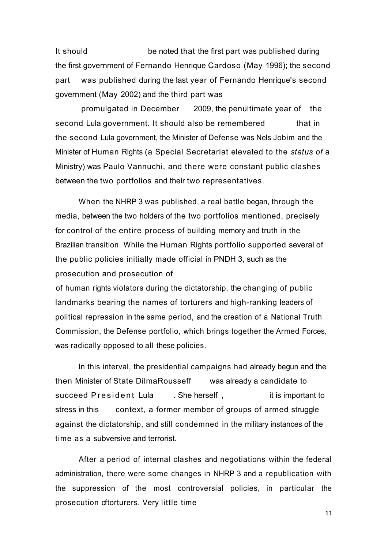It should be noted that the first part was published during the first government of Fernando Henrique Cardoso (May 1996); the second part was published during the last year of Fernando Henrique's second government (May 2002) and the third part was

promulgated in December 2009, the penultimate year of the second Lula government. It should also be remembered that in the second Lula government, the Minister of Defense was Nels Jobim and the Minister of Human Rights (a Special Secretariat elevated to the *status of* a Ministry) was Paulo Vannuchi, and there were constant public clashes between the two portfolios and their two representatives.

When the NHRP 3 was published, a real battle began, through the media, between the two holders of the two portfolios mentioned, precisely for control of the entire process of building memory and truth in the Brazilian transition. While the Human Rights portfolio supported several of the public policies initially made official in PNDH 3, such as the prosecution and prosecution of

of human rights violators during the dictatorship, the changing of public landmarks bearing the names of torturers and high-ranking leaders of political repression in the same period, and the creation of a National Truth Commission, the Defense portfolio, which brings together the Armed Forces, was radically opposed to all these policies.

In this interval, the presidential campaigns had already begun and the then Minister of State DilmaRousseff was already a candidate to succeed President Lula . She herself, it is important to stress in this context, a former member of groups of armed struggle against the dictatorship, and still condemned in the military instances of the time as a subversive and terrorist.

After a period of internal clashes and negotiations within the federal administration, there were some changes in NHRP 3 and a republication with the suppression of the most controversial policies, in particular the prosecution oftorturers. Very little time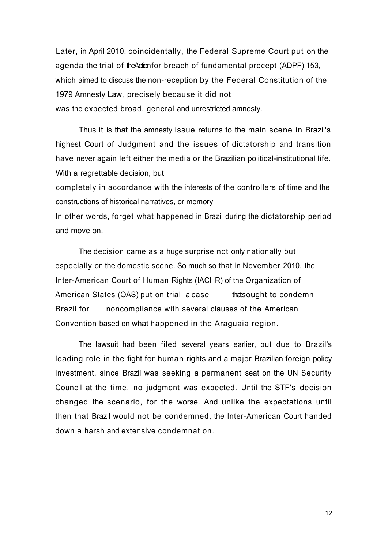Later, in April 2010, coincidentally, the Federal Supreme Court put on the agenda the trial of the Action for breach of fundamental precept (ADPF) 153, which aimed to discuss the non-reception by the Federal Constitution of the 1979 Amnesty Law, precisely because it did not was the expected broad, general and unrestricted amnesty.

Thus it is that the amnesty issue returns to the main scene in Brazil's highest Court of Judgment and the issues of dictatorship and transition have never again left either the media or the Brazilian political-institutional life. With a regrettable decision, but

completely in accordance with the interests of the controllers of time and the constructions of historical narratives, or memory

In other words, forget what happened in Brazil during the dictatorship period and move on.

The decision came as a huge surprise not only nationally but especially on the domestic scene. So much so that in November 2010, the Inter-American Court of Human Rights (IACHR) of the Organization of American States (OAS) put on trial a case that sought to condemn Brazil for noncompliance with several clauses of the American Convention based on what happened in the Araguaia region.

The lawsuit had been filed several years earlier, but due to Brazil's leading role in the fight for human rights and a major Brazilian foreign policy investment, since Brazil was seeking a permanent seat on the UN Security Council at the time, no judgment was expected. Until the STF's decision changed the scenario, for the worse. And unlike the expectations until then that Brazil would not be condemned, the Inter-American Court handed down a harsh and extensive condemnation.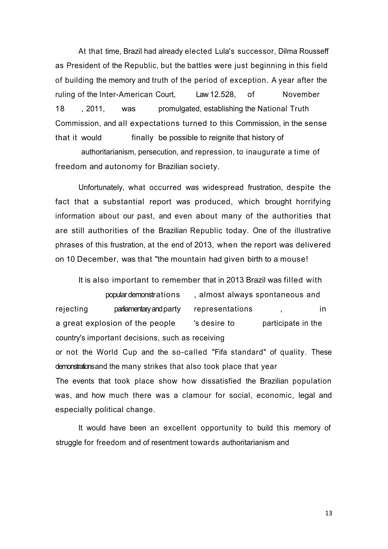At that time, Brazil had already elected Lula's successor, Dilma Rousseff as President of the Republic, but the battles were just beginning in this field of building the memory and truth of the period of exception. A year after the ruling of the Inter-American Court, Law 12.528, of November 18 , 2011, was promulgated, establishing the National Truth Commission, and all expectations turned to this Commission, in the sense that it would finally be possible to reignite that history of

authoritarianism, persecution, and repression, to inaugurate a time of freedom and autonomy for Brazilian society.

Unfortunately, what occurred was widespread frustration, despite the fact that a substantial report was produced, which brought horrifying information about our past, and even about many of the authorities that are still authorities of the Brazilian Republic today. One of the illustrative phrases of this frustration, at the end of 2013, when the report was delivered on 10 December, was that "the mountain had given birth to a mouse!

It is also important to remember that in 2013 Brazil was filled with popular demonstrations , almost always spontaneous and rejecting parliamentary and party representations , in in a great explosion of the people same is desire to same participate in the country's important decisions, such as receiving or not the World Cup and the so-called "Fifa standard" of quality. These demonstrations and the many strikes that also took place that year The events that took place show how dissatisfied the Brazilian population was, and how much there was a clamour for social, economic, legal and especially political change.

It would have been an excellent opportunity to build this memory of struggle for freedom and of resentment towards authoritarianism and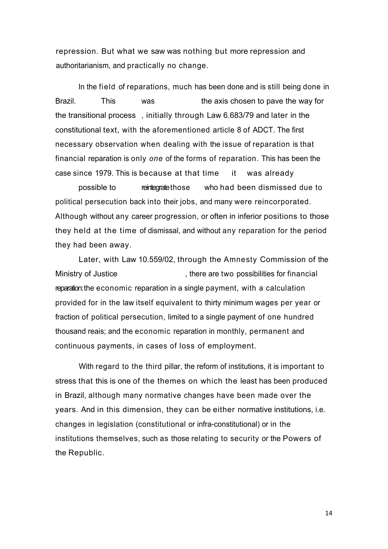repression. But what we saw was nothing but more repression and authoritarianism, and practically no change.

In the field of reparations, much has been done and is still being done in Brazil. This was the axis chosen to pave the way for the transitional process , initially through Law 6.683/79 and later in the constitutional text, with the aforementioned article 8 of ADCT. The first necessary observation when dealing with the issue of reparation is that financial reparation is only *one* of the forms of reparation. This has been the case since 1979. This is because at that time it was already

possible to reintegrate those who had been dismissed due to political persecution back into their jobs, and many were reincorporated. Although without any career progression, or often in inferior positions to those they held at the time of dismissal, and without any reparation for the period they had been away.

Later, with Law 10.559/02, through the Amnesty Commission of the Ministry of Justice **Ministry of Superset Accord**, there are two possibilities for financial reparation: the economic reparation in a single payment, with a calculation provided for in the law itself equivalent to thirty minimum wages per year or fraction of political persecution, limited to a single payment of one hundred thousand reais; and the economic reparation in monthly, permanent and continuous payments, in cases of loss of employment.

With regard to the third pillar, the reform of institutions, it is important to stress that this is one of the themes on which the least has been produced in Brazil, although many normative changes have been made over the years. And in this dimension, they can be either normative institutions, i.e. changes in legislation (constitutional or infra-constitutional) or in the institutions themselves, such as those relating to security or the Powers of the Republic.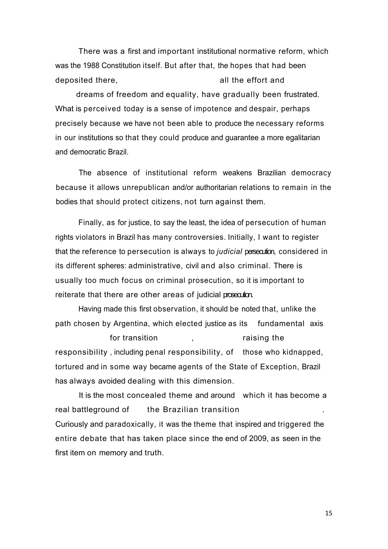There was a first and important institutional normative reform, which was the 1988 Constitution itself. But after that, the hopes that had been deposited there, the contraction of the effort and deposited there.

dreams of freedom and equality, have gradually been frustrated. What is perceived today is a sense of impotence and despair, perhaps precisely because we have not been able to produce the necessary reforms in our institutions so that they could produce and guarantee a more egalitarian and democratic Brazil.

The absence of institutional reform weakens Brazilian democracy because it allows unrepublican and/or authoritarian relations to remain in the bodies that should protect citizens, not turn against them.

Finally, as for justice, to say the least, the idea of persecution of human rights violators in Brazil has many controversies. Initially, I want to register that the reference to persecution is always to *judicial* persecution, considered in its different spheres: administrative, civil and also criminal. There is usually too much focus on criminal prosecution, so it is important to reiterate that there are other areas of judicial prosecution.

Having made this first observation, it should be noted that, unlike the path chosen by Argentina, which elected justice as its fundamental axis

for transition , the raising the responsibility , including penal responsibility, of those who kidnapped, tortured and in some way became agents of the State of Exception, Brazil has always avoided dealing with this dimension.

It is the most concealed theme and around which it has become a real battleground of the Brazilian transition Curiously and paradoxically, it was the theme that inspired and triggered the entire debate that has taken place since the end of 2009, as seen in the first item on memory and truth.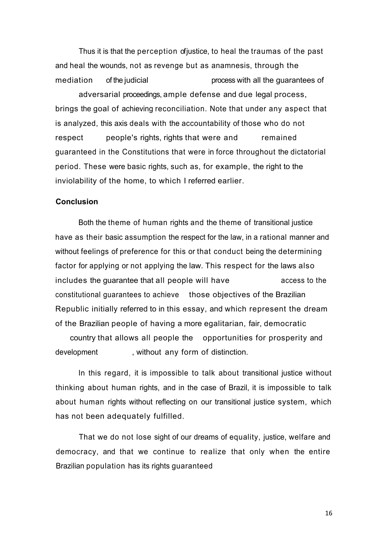Thus it is that the perception of justice, to heal the traumas of the past and heal the wounds, not as revenge but as anamnesis, through the mediation of the judicial process with all the guarantees of adversarial proceedings, ample defense and due legal process, brings the goal of achieving reconciliation. Note that under any aspect that is analyzed, this axis deals with the accountability of those who do not respect people's rights, rights that were and remained guaranteed in the Constitutions that were in force throughout the dictatorial period. These were basic rights, such as, for example, the right to the inviolability of the home, to which I referred earlier.

#### **Conclusion**

Both the theme of human rights and the theme of transitional justice have as their basic assumption the respect for the law, in a rational manner and without feelings of preference for this or that conduct being the determining factor for applying or not applying the law. This respect for the laws also includes the guarantee that all people will have access to the constitutional guarantees to achieve those objectives of the Brazilian Republic initially referred to in this essay, and which represent the dream of the Brazilian people of having a more egalitarian, fair, democratic

country that allows all people the opportunities for prosperity and development , without any form of distinction.

In this regard, it is impossible to talk about transitional justice without thinking about human rights, and in the case of Brazil, it is impossible to talk about human rights without reflecting on our transitional justice system, which has not been adequately fulfilled.

That we do not lose sight of our dreams of equality, justice, welfare and democracy, and that we continue to realize that only when the entire Brazilian population has its rights guaranteed